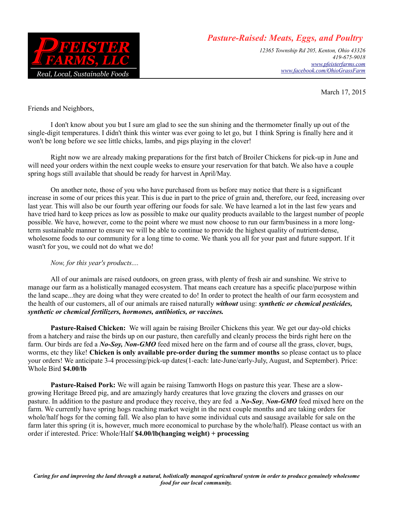

## *Pasture-Raised: Meats, Eggs, and Poultry*

*12365 Township Rd 205, Kenton, Ohio 43326 419-675-9018 [www.pfeisterfarms.com](http://www.pfeisterfarms.com/) [www.facebook.com/OhioGrassFarm](http://www.facebook.com/ohiograssfarm)*

March 17, 2015

Friends and Neighbors,

I don't know about you but I sure am glad to see the sun shining and the thermometer finally up out of the single-digit temperatures. I didn't think this winter was ever going to let go, but I think Spring is finally here and it won't be long before we see little chicks, lambs, and pigs playing in the clover!

Right now we are already making preparations for the first batch of Broiler Chickens for pick-up in June and will need your orders within the next couple weeks to ensure your reservation for that batch. We also have a couple spring hogs still available that should be ready for harvest in April/May.

On another note, those of you who have purchased from us before may notice that there is a significant increase in some of our prices this year. This is due in part to the price of grain and, therefore, our feed, increasing over last year. This will also be our fourth year offering our foods for sale. We have learned a lot in the last few years and have tried hard to keep prices as low as possible to make our quality products available to the largest number of people possible. We have, however, come to the point where we must now choose to run our farm/business in a more longterm sustainable manner to ensure we will be able to continue to provide the highest quality of nutrient-dense, wholesome foods to our community for a long time to come. We thank you all for your past and future support. If it wasn't for you, we could not do what we do!

## *Now, for this year's products....*

All of our animals are raised outdoors, on green grass, with plenty of fresh air and sunshine. We strive to manage our farm as a holistically managed ecosystem. That means each creature has a specific place/purpose within the land scape...they are doing what they were created to do! In order to protect the health of our farm ecosystem and the health of our customers, all of our animals are raised naturally *without* using: *synthetic or chemical pesticides, synthetic or chemical fertilizers, hormones, antibiotics, or vaccines.*

**Pasture-Raised Chicken:** We will again be raising Broiler Chickens this year. We get our day-old chicks from a hatchery and raise the birds up on our pasture, then carefully and cleanly process the birds right here on the farm. Our birds are fed a *No-Soy, Non-GMO* feed mixed here on the farm and of course all the grass, clover, bugs, worms, etc they like! **Chicken is only available pre-order during the summer months** so please contact us to place your orders! We anticipate 3-4 processing/pick-up dates(1-each: late-June/early-July, August, and September). Price: Whole Bird **\$4.00/lb**

**Pasture-Raised Pork:** We will again be raising Tamworth Hogs on pasture this year. These are a slowgrowing Heritage Breed pig, and are amazingly hardy creatures that love grazing the clovers and grasses on our pasture. In addition to the pasture and produce they receive, they are fed a *No-Soy*, *Non-GMO* feed mixed here on the farm. We currently have spring hogs reaching market weight in the next couple months and are taking orders for whole/half hogs for the coming fall. We also plan to have some individual cuts and sausage available for sale on the farm later this spring (it is, however, much more economical to purchase by the whole/half). Please contact us with an order if interested. Price: Whole/Half **\$4.00/lb(hanging weight) + processing**